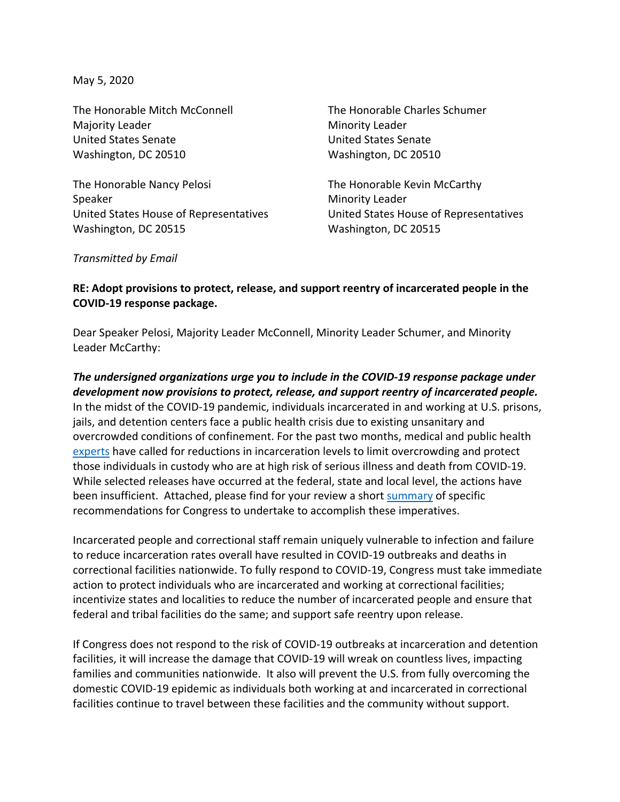May 5, 2020

The Honorable Mitch McConnell The Honorable Charles Schumer Majority Leader **Minority Leader** Minority Leader United States Senate United States Senate Washington, DC 20510 Washington, DC 20510

The Honorable Nancy Pelosi The Honorable Kevin McCarthy Speaker Minority Leader United States House of Representatives United States House of Representatives Washington, DC 20515 Washington, DC 20515

*Transmitted by Email*

## **RE: Adopt provisions to protect, release, and support reentry of incarcerated people in the COVID-19 response package.**

Dear Speaker Pelosi, Majority Leader McConnell, Minority Leader Schumer, and Minority Leader McCarthy:

*The undersigned organizations urge you to include in the COVID-19 response package under development now provisions to protect, release, and support reentry of incarcerated people.* In the midst of the COVID-19 pandemic, individuals incarcerated in and working at U.S. prisons, jails, and detention centers face a public health crisis due to existing unsanitary and overcrowded conditions of confinement. For the past two months, medical and public health [experts](https://www.healthaffairs.org/do/10.1377/hblog20200310.290180/full/?eType=EmailBlastContent&eId=10186eab-2ae6-4f8b-a424-cbf210865d08) have called for reductions in incarceration levels to limit overcrowding and protect those individuals in custody who are at high risk of serious illness and death from COVID-19. While selected releases have occurred at the federal, state and local level, the actions have been insufficient. Attached, please find for your review a short [summary](https://justiceroundtable.org/resource/executive-summary-the-justice-roundtable-covid-19-recommendations/) of specific recommendations for Congress to undertake to accomplish these imperatives.

Incarcerated people and correctional staff remain uniquely vulnerable to infection and failure to reduce incarceration rates overall have resulted in COVID-19 outbreaks and deaths in correctional facilities nationwide. To fully respond to COVID-19, Congress must take immediate action to protect individuals who are incarcerated and working at correctional facilities; incentivize states and localities to reduce the number of incarcerated people and ensure that federal and tribal facilities do the same; and support safe reentry upon release.

If Congress does not respond to the risk of COVID-19 outbreaks at incarceration and detention facilities, it will increase the damage that COVID-19 will wreak on countless lives, impacting families and communities nationwide. It also will prevent the U.S. from fully overcoming the domestic COVID-19 epidemic as individuals both working at and incarcerated in correctional facilities continue to travel between these facilities and the community without support.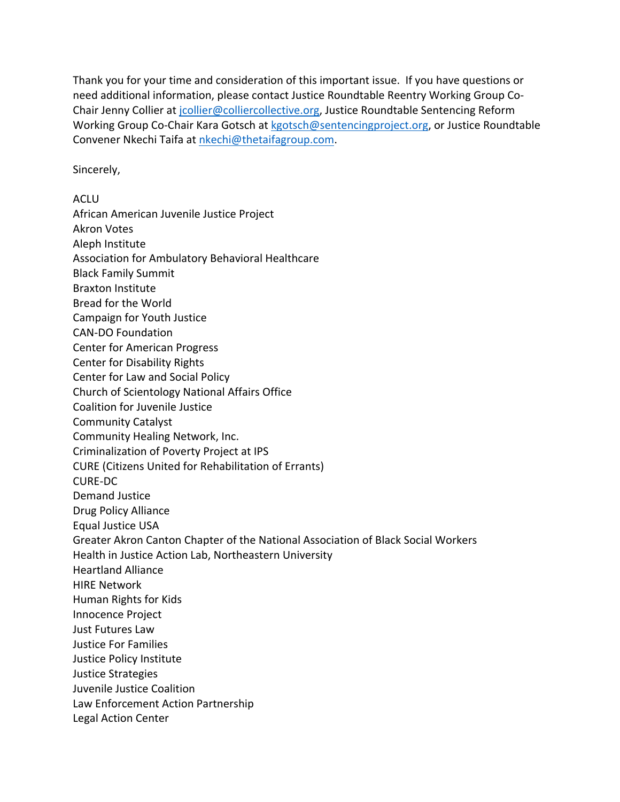Thank you for your time and consideration of this important issue. If you have questions or need additional information, please contact Justice Roundtable Reentry Working Group Co-Chair Jenny Collier at [jcollier@colliercollective.org,](mailto:jcollier@colliercollective.org) Justice Roundtable Sentencing Reform Working Group Co-Chair Kara Gotsch at [kgotsch@sentencingproject.org,](mailto:kgotsch@sentencingproject.org) or Justice Roundtable Convener Nkechi Taifa at [nkechi@thetaifagroup.com.](mailto:nkechi@thetaifagroup.com)

Sincerely,

ACLU African American Juvenile Justice Project Akron Votes Aleph Institute Association for Ambulatory Behavioral Healthcare Black Family Summit Braxton Institute Bread for the World Campaign for Youth Justice CAN-DO Foundation Center for American Progress Center for Disability Rights Center for Law and Social Policy Church of Scientology National Affairs Office Coalition for Juvenile Justice Community Catalyst Community Healing Network, Inc. Criminalization of Poverty Project at IPS CURE (Citizens United for Rehabilitation of Errants) CURE-DC Demand Justice Drug Policy Alliance Equal Justice USA Greater Akron Canton Chapter of the National Association of Black Social Workers Health in Justice Action Lab, Northeastern University Heartland Alliance HIRE Network Human Rights for Kids Innocence Project Just Futures Law Justice For Families Justice Policy Institute Justice Strategies Juvenile Justice Coalition Law Enforcement Action Partnership Legal Action Center